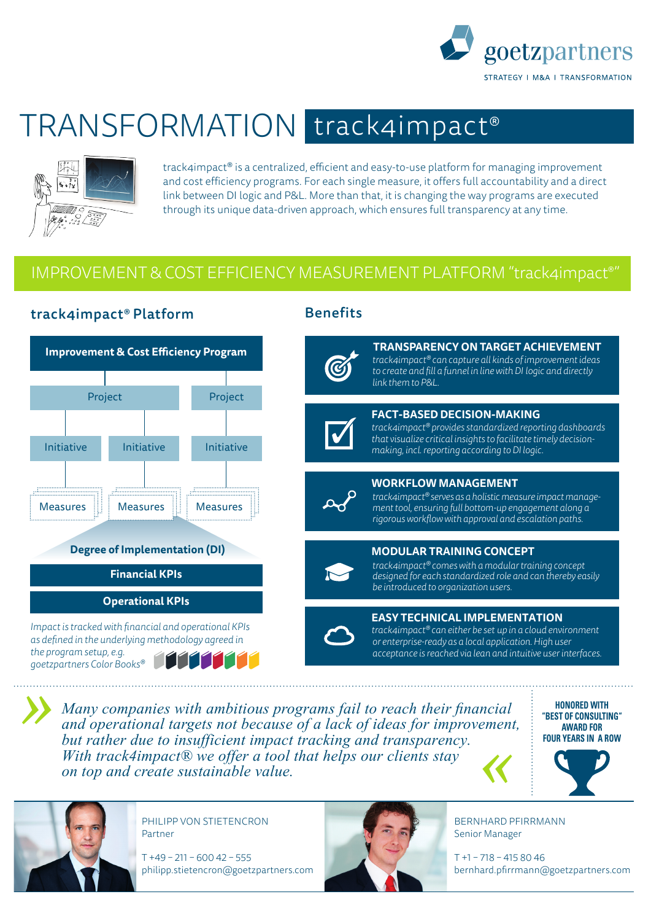

## TRANSFORMATION track4impact®



track4impact<sup>®</sup> is a centralized, efficient and easy-to-use platform for managing improvement and cost efficiency programs. For each single measure, it offers full accountability and a direct link between DI logic and P&L. More than that, it is changing the way programs are executed through its unique data-driven approach, which ensures full transparency at any time.

## IMPROVEMENT & COST EFFICIENCY MEASUREMENT PLATFORM "track4impact®"



*Many companies with ambitious programs fail to reach their financial and operational targets not because of a lack of ideas for improvement, but rather due to insufficient impact tracking and transparency. With track4impact® we offer a tool that helps our clients stay on top and create sustainable value. «*

PHILIPP VON STIETENCRON

philipp.stietencron@goetzpartners.com

 $T + 49 - 211 - 60042 - 555$ 

Partner

**HONORED WITH "BEST OF CONSULTING" AWARD FOR FOUR YEARS IN A ROW**



BERNHARD PFIRRMANN Senior Manager

T +1 – 718 – 415 80 46 bernhard.pfirrmann@goetzpartners.com